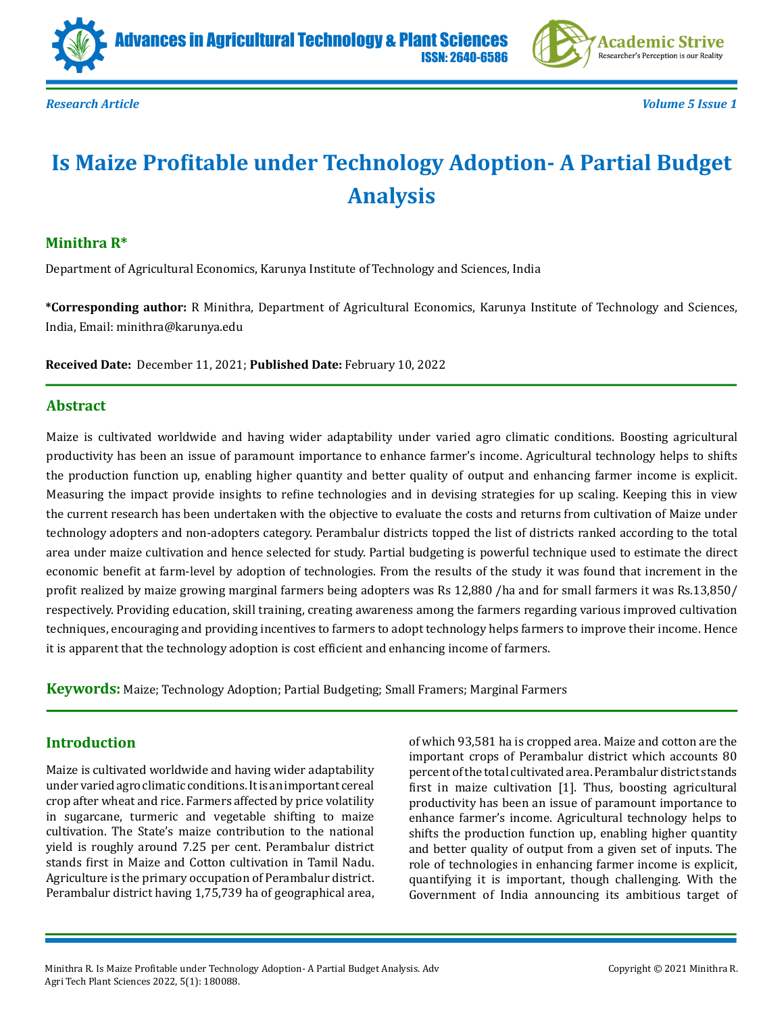





*Research Article Volume 5 Issue 1*

# **Is Maize Profitable under Technology Adoption- A Partial Budget Analysis**

## **Minithra R\***

Department of Agricultural Economics, Karunya Institute of Technology and Sciences, India

**\*Corresponding author:** R Minithra, Department of Agricultural Economics, Karunya Institute of Technology and Sciences, India, Email: minithra@karunya.edu

**Received Date:** December 11, 2021; **Published Date:** February 10, 2022

### **Abstract**

Maize is cultivated worldwide and having wider adaptability under varied agro climatic conditions. Boosting agricultural productivity has been an issue of paramount importance to enhance farmer's income. Agricultural technology helps to shifts the production function up, enabling higher quantity and better quality of output and enhancing farmer income is explicit. Measuring the impact provide insights to refine technologies and in devising strategies for up scaling. Keeping this in view the current research has been undertaken with the objective to evaluate the costs and returns from cultivation of Maize under technology adopters and non-adopters category. Perambalur districts topped the list of districts ranked according to the total area under maize cultivation and hence selected for study. Partial budgeting is powerful technique used to estimate the direct economic benefit at farm-level by adoption of technologies. From the results of the study it was found that increment in the profit realized by maize growing marginal farmers being adopters was Rs 12,880 /ha and for small farmers it was Rs.13,850/ respectively. Providing education, skill training, creating awareness among the farmers regarding various improved cultivation techniques, encouraging and providing incentives to farmers to adopt technology helps farmers to improve their income. Hence it is apparent that the technology adoption is cost efficient and enhancing income of farmers.

**Keywords:** Maize; Technology Adoption; Partial Budgeting; Small Framers; Marginal Farmers

# **Introduction**

Maize is cultivated worldwide and having wider adaptability under varied agro climatic conditions. It is an important cereal crop after wheat and rice. Farmers affected by price volatility in sugarcane, turmeric and vegetable shifting to maize cultivation. The State's maize contribution to the national yield is roughly around 7.25 per cent. Perambalur district stands first in Maize and Cotton cultivation in Tamil Nadu. Agriculture is the primary occupation of Perambalur district. Perambalur district having 1,75,739 ha of geographical area,

of which 93,581 ha is cropped area. Maize and cotton are the important crops of Perambalur district which accounts 80 percent of the total cultivated area. Perambalur district stands first in maize cultivation [1]. Thus, boosting agricultural productivity has been an issue of paramount importance to enhance farmer's income. Agricultural technology helps to shifts the production function up, enabling higher quantity and better quality of output from a given set of inputs. The role of technologies in enhancing farmer income is explicit, quantifying it is important, though challenging. With the Government of India announcing its ambitious target of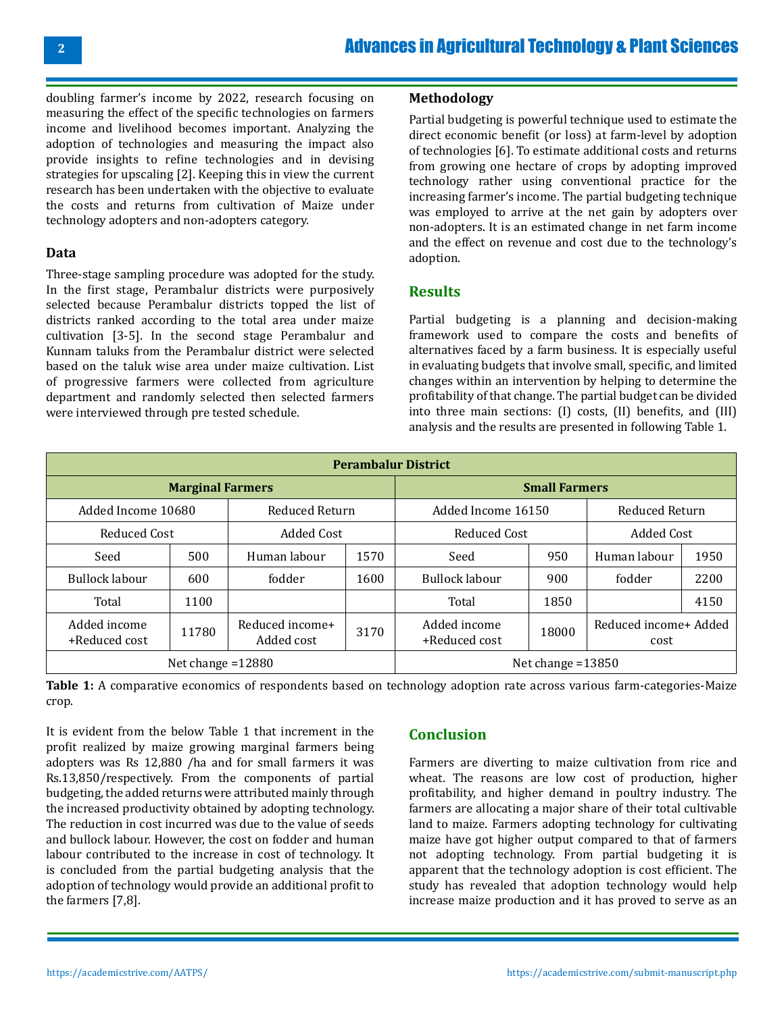doubling farmer's income by 2022, research focusing on measuring the effect of the specific technologies on farmers income and livelihood becomes important. Analyzing the adoption of technologies and measuring the impact also provide insights to refine technologies and in devising strategies for upscaling [2]. Keeping this in view the current research has been undertaken with the objective to evaluate the costs and returns from cultivation of Maize under technology adopters and non-adopters category.

#### **Data**

Three-stage sampling procedure was adopted for the study. In the first stage, Perambalur districts were purposively selected because Perambalur districts topped the list of districts ranked according to the total area under maize cultivation [3-5]. In the second stage Perambalur and Kunnam taluks from the Perambalur district were selected based on the taluk wise area under maize cultivation. List of progressive farmers were collected from agriculture department and randomly selected then selected farmers were interviewed through pre tested schedule.

## **Methodology**

Partial budgeting is powerful technique used to estimate the direct economic benefit (or loss) at farm-level by adoption of technologies [6]. To estimate additional costs and returns from growing one hectare of crops by adopting improved technology rather using conventional practice for the increasing farmer's income. The partial budgeting technique was employed to arrive at the net gain by adopters over non-adopters. It is an estimated change in net farm income and the effect on revenue and cost due to the technology's adoption.

# **Results**

Partial budgeting is a planning and decision-making framework used to compare the costs and benefits of alternatives faced by a farm business. It is especially useful in evaluating budgets that involve small, specific, and limited changes within an intervention by helping to determine the profitability of that change. The partial budget can be divided into three main sections: (I) costs, (II) benefits, and (III) analysis and the results are presented in following Table 1.

| <b>Perambalur District</b>    |       |                               |      |                               |       |                               |      |
|-------------------------------|-------|-------------------------------|------|-------------------------------|-------|-------------------------------|------|
| <b>Marginal Farmers</b>       |       |                               |      | <b>Small Farmers</b>          |       |                               |      |
| Added Income 10680            |       | Reduced Return                |      | Added Income 16150            |       | Reduced Return                |      |
| Reduced Cost                  |       | <b>Added Cost</b>             |      | Reduced Cost                  |       | <b>Added Cost</b>             |      |
| Seed                          | 500   | Human labour                  | 1570 | Seed                          | 950   | Human labour                  | 1950 |
| Bullock labour                | 600   | fodder                        | 1600 | Bullock labour                | 900   | fodder                        | 2200 |
| Total                         | 1100  |                               |      | Total                         | 1850  |                               | 4150 |
| Added income<br>+Reduced cost | 11780 | Reduced income+<br>Added cost | 3170 | Added income<br>+Reduced cost | 18000 | Reduced income+ Added<br>cost |      |
| Net change $=12880$           |       |                               |      | Net change $=13850$           |       |                               |      |

**Table 1:** A comparative economics of respondents based on technology adoption rate across various farm-categories-Maize crop.

It is evident from the below Table 1 that increment in the profit realized by maize growing marginal farmers being adopters was Rs 12,880 /ha and for small farmers it was Rs.13,850/respectively. From the components of partial budgeting, the added returns were attributed mainly through the increased productivity obtained by adopting technology. The reduction in cost incurred was due to the value of seeds and bullock labour. However, the cost on fodder and human labour contributed to the increase in cost of technology. It is concluded from the partial budgeting analysis that the adoption of technology would provide an additional profit to the farmers [7,8].

# **Conclusion**

Farmers are diverting to maize cultivation from rice and wheat. The reasons are low cost of production, higher profitability, and higher demand in poultry industry. The farmers are allocating a major share of their total cultivable land to maize. Farmers adopting technology for cultivating maize have got higher output compared to that of farmers not adopting technology. From partial budgeting it is apparent that the technology adoption is cost efficient. The study has revealed that adoption technology would help increase maize production and it has proved to serve as an